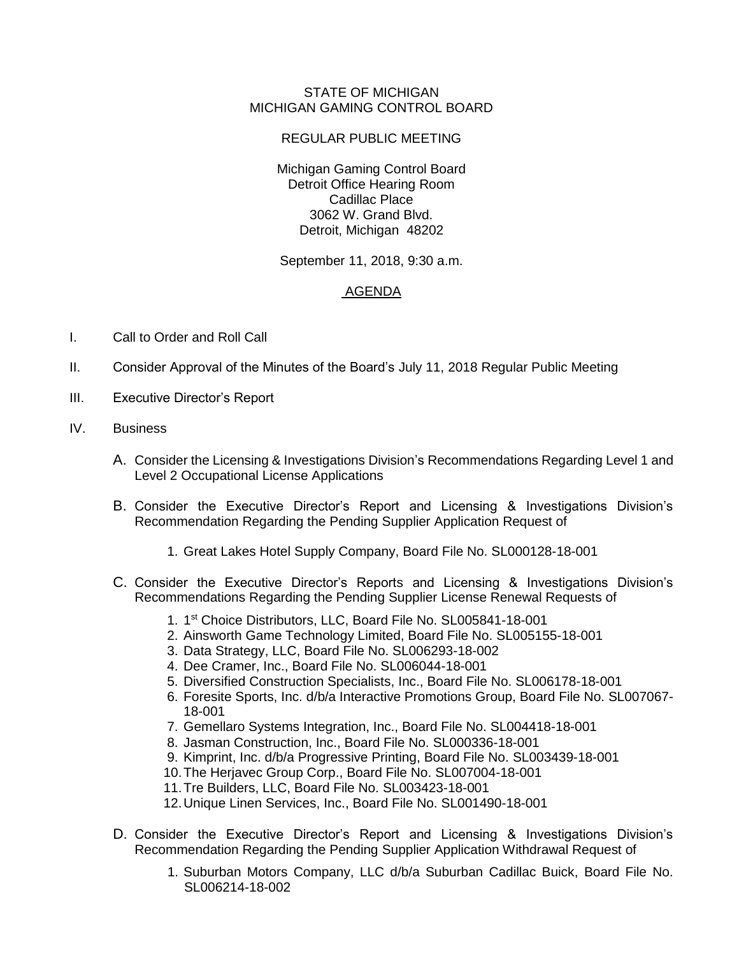## STATE OF MICHIGAN MICHIGAN GAMING CONTROL BOARD

## REGULAR PUBLIC MEETING

Michigan Gaming Control Board Detroit Office Hearing Room Cadillac Place 3062 W. Grand Blvd. Detroit, Michigan 48202

September 11, 2018, 9:30 a.m.

## AGENDA

- I. Call to Order and Roll Call
- II. Consider Approval of the Minutes of the Board's July 11, 2018 Regular Public Meeting
- III. Executive Director's Report
- IV. Business
	- A. Consider the Licensing & Investigations Division's Recommendations Regarding Level 1 and Level 2 Occupational License Applications
	- B. Consider the Executive Director's Report and Licensing & Investigations Division's Recommendation Regarding the Pending Supplier Application Request of
		- 1. Great Lakes Hotel Supply Company, Board File No. SL000128-18-001
	- C. Consider the Executive Director's Reports and Licensing & Investigations Division's Recommendations Regarding the Pending Supplier License Renewal Requests of
		- 1. 1 st Choice Distributors, LLC, Board File No. SL005841-18-001
		- 2. Ainsworth Game Technology Limited, Board File No. SL005155-18-001
		- 3. Data Strategy, LLC, Board File No. SL006293-18-002
		- 4. Dee Cramer, Inc., Board File No. SL006044-18-001
		- 5. Diversified Construction Specialists, Inc., Board File No. SL006178-18-001
		- 6. Foresite Sports, Inc. d/b/a Interactive Promotions Group, Board File No. SL007067- 18-001
		- 7. Gemellaro Systems Integration, Inc., Board File No. SL004418-18-001
		- 8. Jasman Construction, Inc., Board File No. SL000336-18-001
		- 9. Kimprint, Inc. d/b/a Progressive Printing, Board File No. SL003439-18-001
		- 10.The Herjavec Group Corp., Board File No. SL007004-18-001
		- 11.Tre Builders, LLC, Board File No. SL003423-18-001
		- 12.Unique Linen Services, Inc., Board File No. SL001490-18-001
	- D. Consider the Executive Director's Report and Licensing & Investigations Division's Recommendation Regarding the Pending Supplier Application Withdrawal Request of
		- 1. Suburban Motors Company, LLC d/b/a Suburban Cadillac Buick, Board File No. SL006214-18-002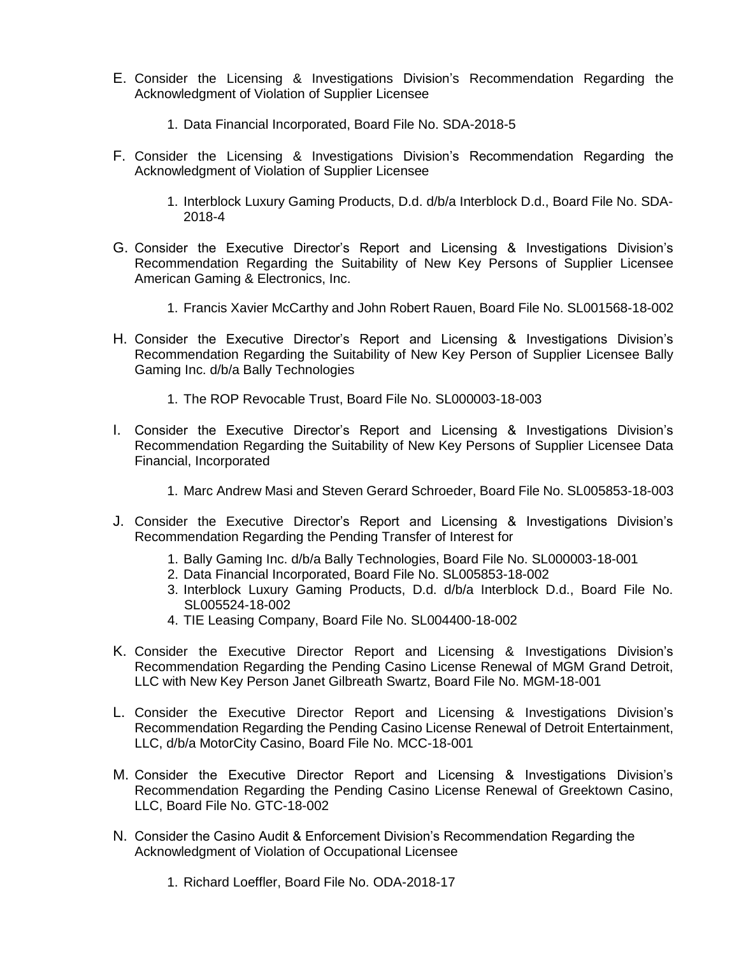- E. Consider the Licensing & Investigations Division's Recommendation Regarding the Acknowledgment of Violation of Supplier Licensee
	- 1. Data Financial Incorporated, Board File No. SDA-2018-5
- F. Consider the Licensing & Investigations Division's Recommendation Regarding the Acknowledgment of Violation of Supplier Licensee
	- 1. Interblock Luxury Gaming Products, D.d. d/b/a Interblock D.d., Board File No. SDA-2018-4
- G. Consider the Executive Director's Report and Licensing & Investigations Division's Recommendation Regarding the Suitability of New Key Persons of Supplier Licensee American Gaming & Electronics, Inc.
	- 1. Francis Xavier McCarthy and John Robert Rauen, Board File No. SL001568-18-002
- H. Consider the Executive Director's Report and Licensing & Investigations Division's Recommendation Regarding the Suitability of New Key Person of Supplier Licensee Bally Gaming Inc. d/b/a Bally Technologies
	- 1. The ROP Revocable Trust, Board File No. SL000003-18-003
- I. Consider the Executive Director's Report and Licensing & Investigations Division's Recommendation Regarding the Suitability of New Key Persons of Supplier Licensee Data Financial, Incorporated
	- 1. Marc Andrew Masi and Steven Gerard Schroeder, Board File No. SL005853-18-003
- J. Consider the Executive Director's Report and Licensing & Investigations Division's Recommendation Regarding the Pending Transfer of Interest for
	- 1. Bally Gaming Inc. d/b/a Bally Technologies, Board File No. SL000003-18-001
	- 2. Data Financial Incorporated, Board File No. SL005853-18-002
	- 3. Interblock Luxury Gaming Products, D.d. d/b/a Interblock D.d., Board File No. SL005524-18-002
	- 4. TIE Leasing Company, Board File No. SL004400-18-002
- K. Consider the Executive Director Report and Licensing & Investigations Division's Recommendation Regarding the Pending Casino License Renewal of MGM Grand Detroit, LLC with New Key Person Janet Gilbreath Swartz, Board File No. MGM-18-001
- L. Consider the Executive Director Report and Licensing & Investigations Division's Recommendation Regarding the Pending Casino License Renewal of Detroit Entertainment, LLC, d/b/a MotorCity Casino, Board File No. MCC-18-001
- M. Consider the Executive Director Report and Licensing & Investigations Division's Recommendation Regarding the Pending Casino License Renewal of Greektown Casino, LLC, Board File No. GTC-18-002
- N. Consider the Casino Audit & Enforcement Division's Recommendation Regarding the Acknowledgment of Violation of Occupational Licensee
	- 1. Richard Loeffler, Board File No. ODA-2018-17